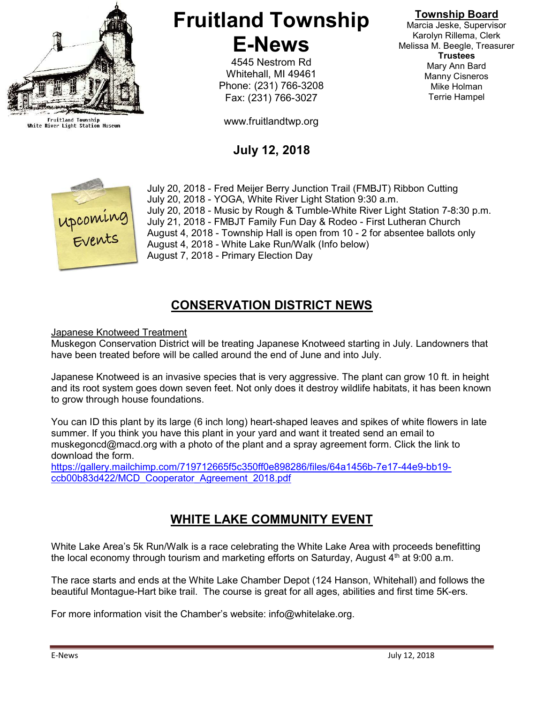

Fruitland Township<br>White River Light Station Museum

# Fruitland Township E-News

4545 Nestrom Rd Whitehall, MI 49461 Phone: (231) 766-3208 Fax: (231) 766-3027

www.fruitlandtwp.org

# July 12, 2018



July 20, 2018 - Fred Meijer Berry Junction Trail (FMBJT) Ribbon Cutting July 20, 2018 - YOGA, White River Light Station 9:30 a.m. July 20, 2018 - Music by Rough & Tumble-White River Light Station 7-8:30 p.m. July 21, 2018 - FMBJT Family Fun Day & Rodeo - First Lutheran Church August 4, 2018 - Township Hall is open from 10 - 2 for absentee ballots only August 4, 2018 - White Lake Run/Walk (Info below) August 7, 2018 - Primary Election Day

### CONSERVATION DISTRICT NEWS

#### Japanese Knotweed Treatment

Muskegon Conservation District will be treating Japanese Knotweed starting in July. Landowners that have been treated before will be called around the end of June and into July.

Japanese Knotweed is an invasive species that is very aggressive. The plant can grow 10 ft. in height and its root system goes down seven feet. Not only does it destroy wildlife habitats, it has been known to grow through house foundations.

You can ID this plant by its large (6 inch long) heart-shaped leaves and spikes of white flowers in late summer. If you think you have this plant in your yard and want it treated send an email to muskegoncd@macd.org with a photo of the plant and a spray agreement form. Click the link to download the form.

https://gallery.mailchimp.com/719712665f5c350ff0e898286/files/64a1456b-7e17-44e9-bb19 ccb00b83d422/MCD\_Cooperator\_Agreement\_2018.pdf

## WHITE LAKE COMMUNITY EVENT

White Lake Area's 5k Run/Walk is a race celebrating the White Lake Area with proceeds benefitting the local economy through tourism and marketing efforts on Saturday, August  $4<sup>th</sup>$  at 9:00 a.m.

The race starts and ends at the White Lake Chamber Depot (124 Hanson, Whitehall) and follows the beautiful Montague-Hart bike trail. The course is great for all ages, abilities and first time 5K-ers.

For more information visit the Chamber's website: info@whitelake.org.

Marcia Jeske, Supervisor Karolyn Rillema, Clerk Melissa M. Beegle, Treasurer Trustees Mary Ann Bard Manny Cisneros Mike Holman Terrie Hampel